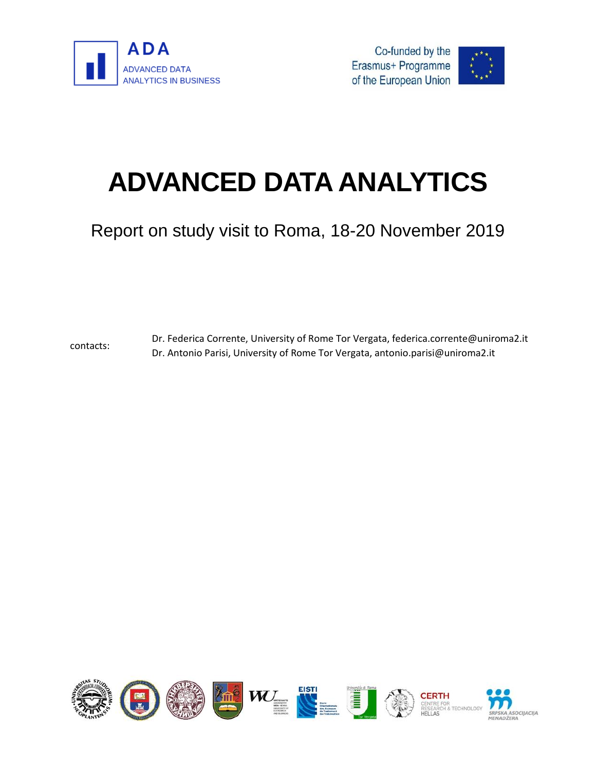





# **ADVANCED DATA ANALYTICS**

Report on study visit to Roma, 18-20 November 2019

contacts: Dr. Federica Corrente, University of Rome Tor Vergata, federica.corrente@uniroma2.it Dr. Antonio Parisi, University of Rome Tor Vergata, antonio.parisi@uniroma2.it

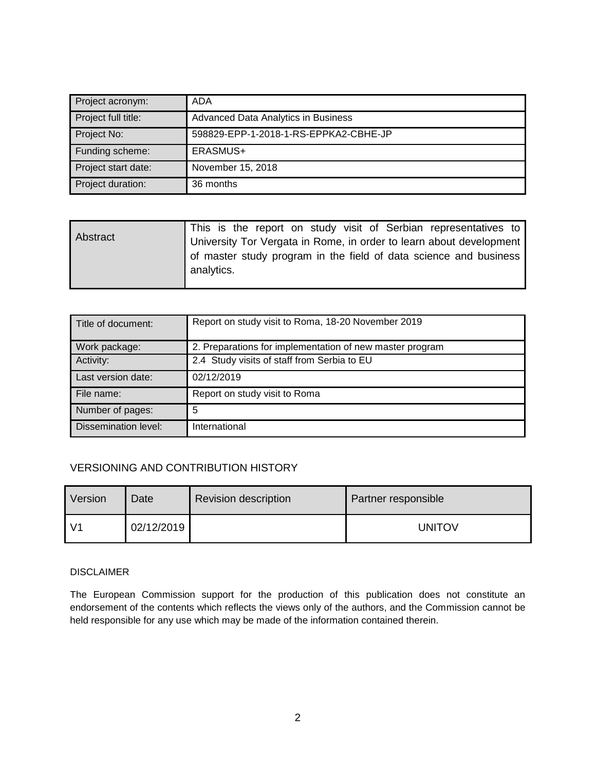| Project acronym:    | ADA                                   |
|---------------------|---------------------------------------|
| Project full title: | Advanced Data Analytics in Business   |
| Project No:         | 598829-EPP-1-2018-1-RS-EPPKA2-CBHE-JP |
| Funding scheme:     | ERASMUS+                              |
| Project start date: | November 15, 2018                     |
| Project duration:   | 36 months                             |

| Abstract | This is the report on study visit of Serbian representatives to     |
|----------|---------------------------------------------------------------------|
|          | University Tor Vergata in Rome, in order to learn about development |
|          | of master study program in the field of data science and business   |
|          | analytics.                                                          |
|          |                                                                     |

| Title of document:   | Report on study visit to Roma, 18-20 November 2019       |
|----------------------|----------------------------------------------------------|
| Work package:        | 2. Preparations for implementation of new master program |
| Activity:            | 2.4 Study visits of staff from Serbia to EU              |
| Last version date:   | 02/12/2019                                               |
| File name:           | Report on study visit to Roma                            |
| Number of pages:     | 5                                                        |
| Dissemination level: | International                                            |

#### VERSIONING AND CONTRIBUTION HISTORY

| Version | Date       | <b>Revision description</b> | Partner responsible |
|---------|------------|-----------------------------|---------------------|
|         | 02/12/2019 |                             | <b>UNITOV</b>       |

#### DISCLAIMER

The European Commission support for the production of this publication does not constitute an endorsement of the contents which reflects the views only of the authors, and the Commission cannot be held responsible for any use which may be made of the information contained therein.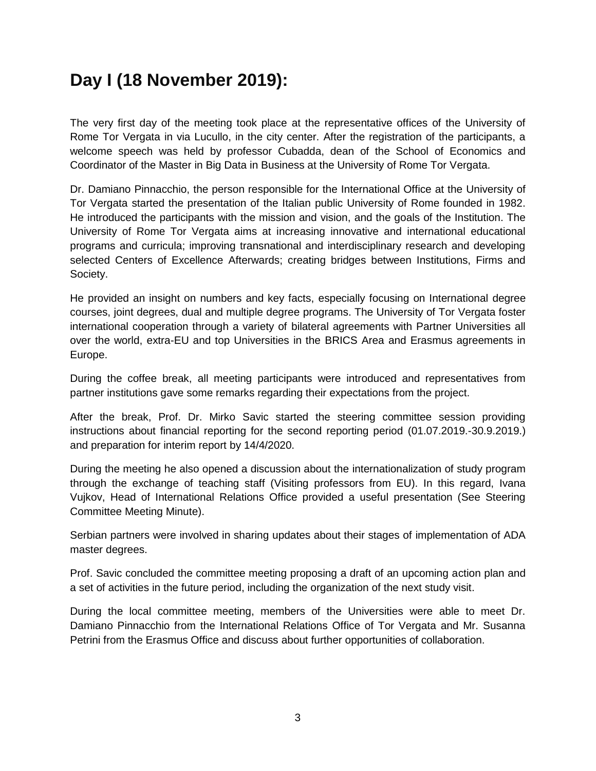#### **Day I (18 November 2019):**

The very first day of the meeting took place at the representative offices of the University of Rome Tor Vergata in via Lucullo, in the city center. After the registration of the participants, a welcome speech was held by professor Cubadda, dean of the School of Economics and Coordinator of the Master in Big Data in Business at the University of Rome Tor Vergata.

Dr. Damiano Pinnacchio, the person responsible for the International Office at the University of Tor Vergata started the presentation of the Italian public University of Rome founded in 1982. He introduced the participants with the mission and vision, and the goals of the Institution. The University of Rome Tor Vergata aims at increasing innovative and international educational programs and curricula; improving transnational and interdisciplinary research and developing selected Centers of Excellence Afterwards; creating bridges between Institutions, Firms and Society.

He provided an insight on numbers and key facts, especially focusing on International degree courses, joint degrees, dual and multiple degree programs. The University of Tor Vergata foster international cooperation through a variety of bilateral agreements with Partner Universities all over the world, extra-EU and top Universities in the BRICS Area and Erasmus agreements in Europe.

During the coffee break, all meeting participants were introduced and representatives from partner institutions gave some remarks regarding their expectations from the project.

After the break, Prof. Dr. Mirko Savic started the steering committee session providing instructions about financial reporting for the second reporting period (01.07.2019.-30.9.2019.) and preparation for interim report by 14/4/2020.

During the meeting he also opened a discussion about the internationalization of study program through the exchange of teaching staff (Visiting professors from EU). In this regard, Ivana Vujkov, Head of International Relations Office provided a useful presentation (See Steering Committee Meeting Minute).

Serbian partners were involved in sharing updates about their stages of implementation of ADA master degrees.

Prof. Savic concluded the committee meeting proposing a draft of an upcoming action plan and a set of activities in the future period, including the organization of the next study visit.

During the local committee meeting, members of the Universities were able to meet Dr. Damiano Pinnacchio from the International Relations Office of Tor Vergata and Mr. Susanna Petrini from the Erasmus Office and discuss about further opportunities of collaboration.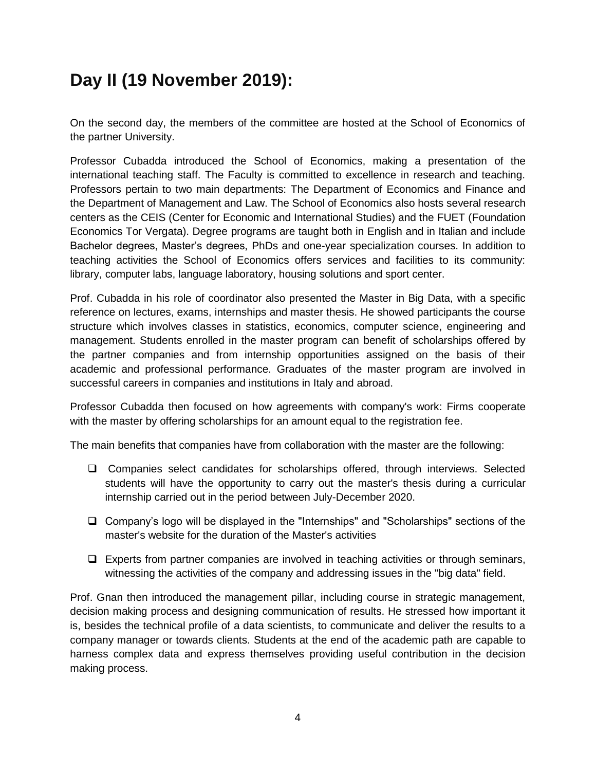### **Day II (19 November 2019):**

On the second day, the members of the committee are hosted at the School of Economics of the partner University.

Professor Cubadda introduced the School of Economics, making a presentation of the international teaching staff. The Faculty is committed to excellence in research and teaching. Professors pertain to two main departments: The Department of Economics and Finance and the Department of Management and Law. The School of Economics also hosts several research centers as the CEIS (Center for Economic and International Studies) and the FUET (Foundation Economics Tor Vergata). Degree programs are taught both in English and in Italian and include Bachelor degrees, Master's degrees, PhDs and one-year specialization courses. In addition to teaching activities the School of Economics offers services and facilities to its community: library, computer labs, language laboratory, housing solutions and sport center.

Prof. Cubadda in his role of coordinator also presented the Master in Big Data, with a specific reference on lectures, exams, internships and master thesis. He showed participants the course structure which involves classes in statistics, economics, computer science, engineering and management. Students enrolled in the master program can benefit of scholarships offered by the partner companies and from internship opportunities assigned on the basis of their academic and professional performance. Graduates of the master program are involved in successful careers in companies and institutions in Italy and abroad.

Professor Cubadda then focused on how agreements with company's work: Firms cooperate with the master by offering scholarships for an amount equal to the registration fee.

The main benefits that companies have from collaboration with the master are the following:

- Companies select candidates for scholarships offered, through interviews. Selected students will have the opportunity to carry out the master's thesis during a curricular internship carried out in the period between July-December 2020.
- Company's logo will be displayed in the "Internships" and "Scholarships" sections of the master's website for the duration of the Master's activities
- $\Box$  Experts from partner companies are involved in teaching activities or through seminars, witnessing the activities of the company and addressing issues in the "big data" field.

Prof. Gnan then introduced the management pillar, including course in strategic management, decision making process and designing communication of results. He stressed how important it is, besides the technical profile of a data scientists, to communicate and deliver the results to a company manager or towards clients. Students at the end of the academic path are capable to harness complex data and express themselves providing useful contribution in the decision making process.